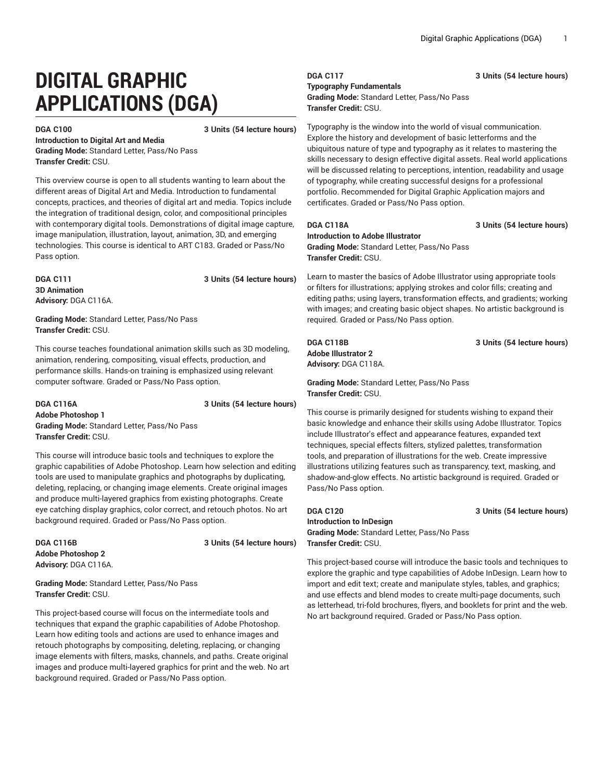# **DIGITAL GRAPHIC APPLICATIONS (DGA)**

**DGA C100 3 Units (54 lecture hours)**

**Introduction to Digital Art and Media Grading Mode:** Standard Letter, Pass/No Pass **Transfer Credit:** CSU.

This overview course is open to all students wanting to learn about the different areas of Digital Art and Media. Introduction to fundamental concepts, practices, and theories of digital art and media. Topics include the integration of traditional design, color, and compositional principles with contemporary digital tools. Demonstrations of digital image capture, image manipulation, illustration, layout, animation, 3D, and emerging technologies. This course is identical to ART C183. Graded or Pass/No Pass option.

**3D Animation Advisory:** DGA C116A.

**DGA C111 3 Units (54 lecture hours)**

**Grading Mode:** Standard Letter, Pass/No Pass **Transfer Credit:** CSU.

This course teaches foundational animation skills such as 3D modeling, animation, rendering, compositing, visual effects, production, and performance skills. Hands-on training is emphasized using relevant computer software. Graded or Pass/No Pass option.

**DGA C116A 3 Units (54 lecture hours) Adobe Photoshop 1 Grading Mode:** Standard Letter, Pass/No Pass **Transfer Credit:** CSU.

This course will introduce basic tools and techniques to explore the graphic capabilities of Adobe Photoshop. Learn how selection and editing tools are used to manipulate graphics and photographs by duplicating, deleting, replacing, or changing image elements. Create original images and produce multi-layered graphics from existing photographs. Create eye catching display graphics, color correct, and retouch photos. No art background required. Graded or Pass/No Pass option.

**Adobe Photoshop 2 Advisory:** DGA C116A.

**DGA C116B 3 Units (54 lecture hours)**

**Grading Mode:** Standard Letter, Pass/No Pass **Transfer Credit:** CSU.

This project-based course will focus on the intermediate tools and techniques that expand the graphic capabilities of Adobe Photoshop. Learn how editing tools and actions are used to enhance images and retouch photographs by compositing, deleting, replacing, or changing image elements with filters, masks, channels, and paths. Create original images and produce multi-layered graphics for print and the web. No art background required. Graded or Pass/No Pass option.

**DGA C117 3 Units (54 lecture hours) Typography Fundamentals Grading Mode:** Standard Letter, Pass/No Pass **Transfer Credit:** CSU.

Typography is the window into the world of visual communication. Explore the history and development of basic letterforms and the ubiquitous nature of type and typography as it relates to mastering the skills necessary to design effective digital assets. Real world applications will be discussed relating to perceptions, intention, readability and usage of typography, while creating successful designs for a professional portfolio. Recommended for Digital Graphic Application majors and certificates. Graded or Pass/No Pass option.

**DGA C118A 3 Units (54 lecture hours)**

**Introduction to Adobe Illustrator Grading Mode:** Standard Letter, Pass/No Pass **Transfer Credit:** CSU.

Learn to master the basics of Adobe Illustrator using appropriate tools or filters for illustrations; applying strokes and color fills; creating and editing paths; using layers, transformation effects, and gradients; working with images; and creating basic object shapes. No artistic background is required. Graded or Pass/No Pass option.

**DGA C118B 3 Units (54 lecture hours) Adobe Illustrator 2 Advisory:** DGA C118A.

**Grading Mode:** Standard Letter, Pass/No Pass **Transfer Credit:** CSU.

This course is primarily designed for students wishing to expand their basic knowledge and enhance their skills using Adobe Illustrator. Topics include Illustrator's effect and appearance features, expanded text techniques, special effects filters, stylized palettes, transformation tools, and preparation of illustrations for the web. Create impressive illustrations utilizing features such as transparency, text, masking, and shadow-and-glow effects. No artistic background is required. Graded or Pass/No Pass option.

**DGA C120 3 Units (54 lecture hours)**

**Introduction to InDesign Grading Mode:** Standard Letter, Pass/No Pass **Transfer Credit:** CSU.

This project-based course will introduce the basic tools and techniques to explore the graphic and type capabilities of Adobe InDesign. Learn how to import and edit text; create and manipulate styles, tables, and graphics; and use effects and blend modes to create multi-page documents, such as letterhead, tri-fold brochures, flyers, and booklets for print and the web. No art background required. Graded or Pass/No Pass option.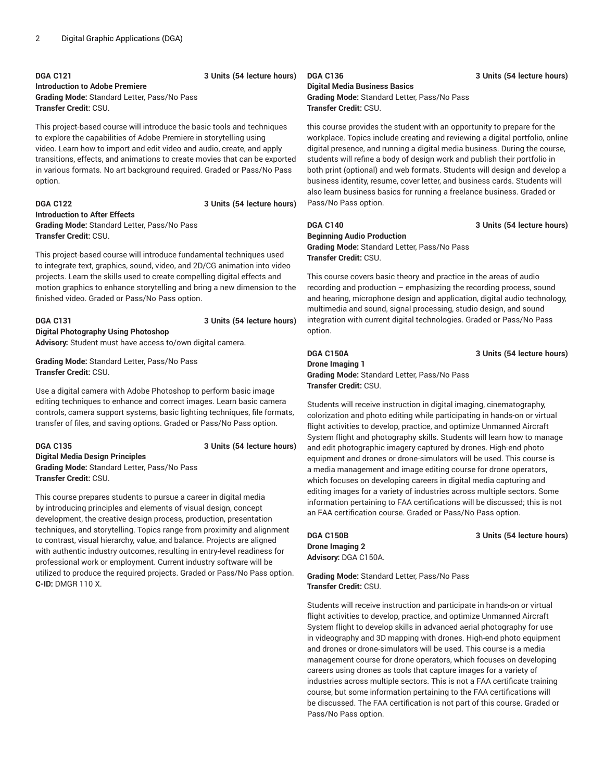# **DGA C121 3 Units (54 lecture hours)**

### **Introduction to Adobe Premiere**

**Grading Mode:** Standard Letter, Pass/No Pass **Transfer Credit:** CSU.

This project-based course will introduce the basic tools and techniques to explore the capabilities of Adobe Premiere in storytelling using video. Learn how to import and edit video and audio, create, and apply transitions, effects, and animations to create movies that can be exported in various formats. No art background required. Graded or Pass/No Pass option.

### **DGA C122 3 Units (54 lecture hours) Introduction to After Effects Grading Mode:** Standard Letter, Pass/No Pass **Transfer Credit:** CSU.

This project-based course will introduce fundamental techniques used to integrate text, graphics, sound, video, and 2D/CG animation into video projects. Learn the skills used to create compelling digital effects and motion graphics to enhance storytelling and bring a new dimension to the finished video. Graded or Pass/No Pass option.

# **DGA C131 3 Units (54 lecture hours) Digital Photography Using Photoshop**

**Advisory:** Student must have access to/own digital camera.

**Grading Mode:** Standard Letter, Pass/No Pass **Transfer Credit:** CSU.

Use a digital camera with Adobe Photoshop to perform basic image editing techniques to enhance and correct images. Learn basic camera controls, camera support systems, basic lighting techniques, file formats, transfer of files, and saving options. Graded or Pass/No Pass option.

# **DGA C135 3 Units (54 lecture hours) Digital Media Design Principles Grading Mode:** Standard Letter, Pass/No Pass **Transfer Credit:** CSU.

This course prepares students to pursue a career in digital media by introducing principles and elements of visual design, concept development, the creative design process, production, presentation techniques, and storytelling. Topics range from proximity and alignment to contrast, visual hierarchy, value, and balance. Projects are aligned with authentic industry outcomes, resulting in entry-level readiness for professional work or employment. Current industry software will be utilized to produce the required projects. Graded or Pass/No Pass option. **C-ID:** DMGR 110 X.

### **Digital Media Business Basics**

**Grading Mode:** Standard Letter, Pass/No Pass **Transfer Credit:** CSU.

this course provides the student with an opportunity to prepare for the workplace. Topics include creating and reviewing a digital portfolio, online digital presence, and running a digital media business. During the course, students will refine a body of design work and publish their portfolio in both print (optional) and web formats. Students will design and develop a business identity, resume, cover letter, and business cards. Students will also learn business basics for running a freelance business. Graded or Pass/No Pass option.

# **DGA C140 3 Units (54 lecture hours)**

**Beginning Audio Production Grading Mode:** Standard Letter, Pass/No Pass **Transfer Credit:** CSU.

This course covers basic theory and practice in the areas of audio recording and production – emphasizing the recording process, sound and hearing, microphone design and application, digital audio technology, multimedia and sound, signal processing, studio design, and sound integration with current digital technologies. Graded or Pass/No Pass option.

# **DGA C150A 3 Units (54 lecture hours)**

### **Drone Imaging 1 Grading Mode:** Standard Letter, Pass/No Pass **Transfer Credit:** CSU.

Students will receive instruction in digital imaging, cinematography, colorization and photo editing while participating in hands-on or virtual flight activities to develop, practice, and optimize Unmanned Aircraft System flight and photography skills. Students will learn how to manage and edit photographic imagery captured by drones. High-end photo equipment and drones or drone-simulators will be used. This course is a media management and image editing course for drone operators, which focuses on developing careers in digital media capturing and editing images for a variety of industries across multiple sectors. Some information pertaining to FAA certifications will be discussed; this is not an FAA certification course. Graded or Pass/No Pass option.

**Drone Imaging 2 Advisory:** DGA C150A.

**DGA C150B 3 Units (54 lecture hours)**

**Grading Mode:** Standard Letter, Pass/No Pass **Transfer Credit:** CSU.

Students will receive instruction and participate in hands-on or virtual flight activities to develop, practice, and optimize Unmanned Aircraft System flight to develop skills in advanced aerial photography for use in videography and 3D mapping with drones. High-end photo equipment and drones or drone-simulators will be used. This course is a media management course for drone operators, which focuses on developing careers using drones as tools that capture images for a variety of industries across multiple sectors. This is not a FAA certificate training course, but some information pertaining to the FAA certifications will be discussed. The FAA certification is not part of this course. Graded or Pass/No Pass option.

### **DGA C136 3 Units (54 lecture hours)**